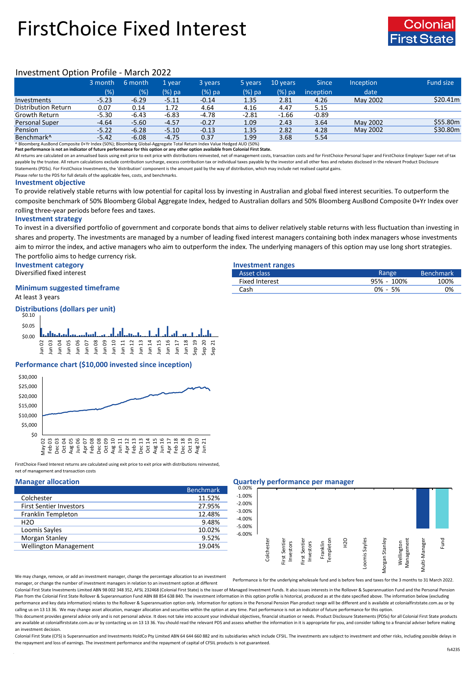# FirstChoice Fixed Interest



## Investment Option Profile - March 2022

|                        | 3 month | 6 month | 1 vear  | 3 years | 5 years | 10 years | <b>Since</b> | Inception | <b>Fund size</b> |
|------------------------|---------|---------|---------|---------|---------|----------|--------------|-----------|------------------|
|                        | (%)     | (%)     | (%) pa  | (%) pa  | (%) pa  | $(%)$ pa | inception    | date      |                  |
| Investments            | $-5.23$ | $-6.29$ | $-5.11$ | $-0.14$ | 1.35    | 2.81     | 4.26         | May 2002  | \$20.41m         |
| Distribution Return    | 0.07    | 0.14    | 1.72    | 4.64    | 4.16    | 4.47     | 5.15         |           |                  |
| Growth Return          | $-5.30$ | $-6.43$ | $-6.83$ | $-4.78$ | $-2.81$ | $-1.66$  | $-0.89$      |           |                  |
| <b>Personal Super</b>  | $-4.64$ | $-5.60$ | $-4.57$ | $-0.27$ | 1.09    | 2.43     | 3.64         | May 2002  | \$55.80m         |
| Pension                | $-5.22$ | $-6.28$ | $-5.10$ | $-0.13$ | 1.35    | 2.82     | 4.28         | May 2002  | \$30.80m         |
| Benchmark <sup>^</sup> | $-5.42$ | $-6.08$ | $-4.75$ | 0.37    | 1.99    | 3.68     | 5.54         |           |                  |

^ Bloomberg AusBond Composite 0+Yr Index (50%); Bloomberg Global-Aggregate Total Return Index Value Hedged AUD (50%) **Past performance is not an indicator of future performance for this option or any other option available from Colonial First State.**

All returns are calculated on an annualised basis using exit price to exit price with distributions reinvested, net of management costs, transaction costs and for FirstChoice Personal Super and FirstChoice Employer Super n payable by the trustee. All return calculations exclude contribution surcharge, excess contribution tax or individual taxes payable by the investor and all other fees and rebates disclosed in the relevant Product Disclosur Statements (PDSs). For FirstChoice Investments, the 'distribution' component is the amount paid by the way of distribution, which may include net realised capital gains.

Please refer to the PDS for full details of the applicable fees, costs, and benchmarks.

### **Investment objective**

To provide relatively stable returns with low potential for capital loss by investing in Australian and global fixed interest securities. To outperform the composite benchmark of 50% Bloomberg Global Aggregate Index, hedged to Australian dollars and 50% Bloomberg AusBond Composite 0+Yr Index over rolling three-year periods before fees and taxes.

### **Investment strategy**

To invest in a diversified portfolio of government and corporate bonds that aims to deliver relatively stable returns with less fluctuation than investing in shares and property. The investments are managed by a number of leading fixed interest managers containing both index managers whose investments aim to mirror the index, and active managers who aim to outperform the index. The underlying managers of this option may use long short strategies. The portfolio aims to hedge currency risk.

**Investment category Investment ranges**

Diversified fixed interest

## **Minimum suggested timeframe**

At least 3 years

### **Distributions (dollars per unit)** \$0.00 \$0.05 \$0.10 Jun 02 Jun 03 Jun 04 Jun 05 Jun 06 Jun 07 Jun 08 Jun 09 Jun 10 Jun 11 Jun 12 Jun 13 Jun 14 Jun 15 Jun 16 Jun 17 Jun 18 Sep 19 Sep 20 Sep 21

### **Performance chart (\$10,000 invested since inception)**



FirstChoice Fixed Interest returns are calculated using exit price to exit price with distributions reinvested, net of management and transaction costs

|                                | <b>Benchmark</b> |
|--------------------------------|------------------|
| Colchester                     | 11.52%           |
| <b>First Sentier Investors</b> | 27.95%           |
| Franklin Templeton             | 12.48%           |
| H2O                            | 9.48%            |
| Loomis Sayles                  | 10.02%           |
| Morgan Stanley                 | 9.52%            |
| <b>Wellington Management</b>   | 19.04%           |

### **Manager allocation Quarterly performance per manager**

| 0.00%    | . .        |                            |                            |                       |                  |               |                |                          |               |      |
|----------|------------|----------------------------|----------------------------|-----------------------|------------------|---------------|----------------|--------------------------|---------------|------|
|          |            |                            |                            |                       |                  |               |                |                          |               |      |
| $-1.00%$ |            |                            |                            |                       |                  |               |                |                          |               |      |
| $-2.00%$ |            |                            |                            |                       |                  |               |                |                          |               |      |
| $-3.00%$ |            |                            |                            |                       |                  |               |                |                          |               |      |
| $-4.00%$ |            |                            |                            |                       |                  |               |                |                          |               |      |
| $-5.00%$ |            |                            |                            |                       |                  |               |                |                          |               |      |
| $-6.00%$ |            |                            |                            |                       |                  |               |                |                          |               |      |
|          | Colchester | First Sentier<br>Investors | First Sentier<br>Investors | Templeton<br>Franklin | H <sub>2</sub> O | Loomis Sayles | Morgan Stanley | Management<br>Wellington | Multi-Manager | Fund |

Asset class **Benchmark** Benchmark Fixed Interest 100% 100% 100% 100% Cash 0% - 5% 0%

We may change, remove, or add an investment manager, change the percentage allocation to an investment manager, or change the number of investment managers in relation to an investment option at different

Performance is for the underlying wholesale fund and is before fees and taxes for the 3 months to 31 March 2022.

Colonial First State Investments Limited ABN 98 002 348 352, AFSL 232468 (Colonial First State) is the issuer of Managed Investment Funds. It also issues interests in the Rollover & Superannuation Fund and the Personal Pen Plan from the Colonial First State Rollover & Superannuation Fund ABN 88 854 638 840. The investment information in this option profile is historical, produced as at the date specified above. The information below (excludi performance and key data information) relates to the Rollover & Superannuation option only. Information for options in the Personal Pension Plan product range will be different and is available at colonialfirststate.com.au calling us on 13 13 36. We may change asset allocation, manager allocation and securities within the option at any time. Past performance is not an indicator of future performance for this option

This document provides general advice only and is not personal advice. It does not take into account your individual objectives, financial situation or needs. Product Disclosure Statements (PDSs) for all Colonial First Sta are available at colonialfirststate.com.au or by contacting us on 13 13 36. You should read the relevant PDS and assess whether the information in it is appropriate for you, and consider talking to a financial adviser befo an investment decision.

Colonial First State (CFS) is Superannuation and Investments HoldCo Ptv Limited ABN 64 644 660 882 and its subsidiaries which include CFSIL. The investments are subject to investment and other risks, including possible del the repayment and loss of earnings. The investment performance and the repayment of capital of CFSIL products is not guaranteed.